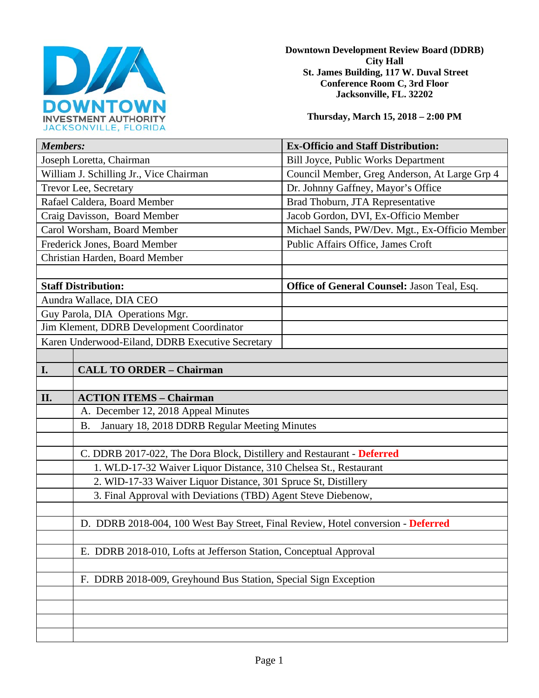

**Downtown Development Review Board (DDRB) City Hall St. James Building, 117 W. Duval Street Conference Room C, 3rd Floor Jacksonville, FL. 32202** 

**Thursday, March 15, 2018 – 2:00 PM**

| <b>Members:</b>                           |                                                                                  | <b>Ex-Officio and Staff Distribution:</b>          |  |
|-------------------------------------------|----------------------------------------------------------------------------------|----------------------------------------------------|--|
| Joseph Loretta, Chairman                  |                                                                                  | Bill Joyce, Public Works Department                |  |
| William J. Schilling Jr., Vice Chairman   |                                                                                  | Council Member, Greg Anderson, At Large Grp 4      |  |
| Trevor Lee, Secretary                     |                                                                                  | Dr. Johnny Gaffney, Mayor's Office                 |  |
| Rafael Caldera, Board Member              |                                                                                  | Brad Thoburn, JTA Representative                   |  |
| Craig Davisson, Board Member              |                                                                                  | Jacob Gordon, DVI, Ex-Officio Member               |  |
| Carol Worsham, Board Member               |                                                                                  | Michael Sands, PW/Dev. Mgt., Ex-Officio Member     |  |
| Frederick Jones, Board Member             |                                                                                  | Public Affairs Office, James Croft                 |  |
| Christian Harden, Board Member            |                                                                                  |                                                    |  |
|                                           |                                                                                  |                                                    |  |
| <b>Staff Distribution:</b>                |                                                                                  | <b>Office of General Counsel: Jason Teal, Esq.</b> |  |
| Aundra Wallace, DIA CEO                   |                                                                                  |                                                    |  |
| Guy Parola, DIA Operations Mgr.           |                                                                                  |                                                    |  |
| Jim Klement, DDRB Development Coordinator |                                                                                  |                                                    |  |
|                                           | Karen Underwood-Eiland, DDRB Executive Secretary                                 |                                                    |  |
|                                           |                                                                                  |                                                    |  |
| I.                                        | <b>CALL TO ORDER - Chairman</b>                                                  |                                                    |  |
|                                           |                                                                                  |                                                    |  |
| II.                                       | <b>ACTION ITEMS - Chairman</b>                                                   |                                                    |  |
|                                           | A. December 12, 2018 Appeal Minutes                                              |                                                    |  |
|                                           | January 18, 2018 DDRB Regular Meeting Minutes<br><b>B.</b>                       |                                                    |  |
|                                           |                                                                                  |                                                    |  |
|                                           | C. DDRB 2017-022, The Dora Block, Distillery and Restaurant - Deferred           |                                                    |  |
|                                           | 1. WLD-17-32 Waiver Liquor Distance, 310 Chelsea St., Restaurant                 |                                                    |  |
|                                           | 2. WID-17-33 Waiver Liquor Distance, 301 Spruce St, Distillery                   |                                                    |  |
|                                           | 3. Final Approval with Deviations (TBD) Agent Steve Diebenow,                    |                                                    |  |
|                                           |                                                                                  |                                                    |  |
|                                           | D. DDRB 2018-004, 100 West Bay Street, Final Review, Hotel conversion - Deferred |                                                    |  |
|                                           |                                                                                  |                                                    |  |
|                                           | E. DDRB 2018-010, Lofts at Jefferson Station, Conceptual Approval                |                                                    |  |
|                                           |                                                                                  |                                                    |  |
|                                           | F. DDRB 2018-009, Greyhound Bus Station, Special Sign Exception                  |                                                    |  |
|                                           |                                                                                  |                                                    |  |
|                                           |                                                                                  |                                                    |  |
|                                           |                                                                                  |                                                    |  |
|                                           |                                                                                  |                                                    |  |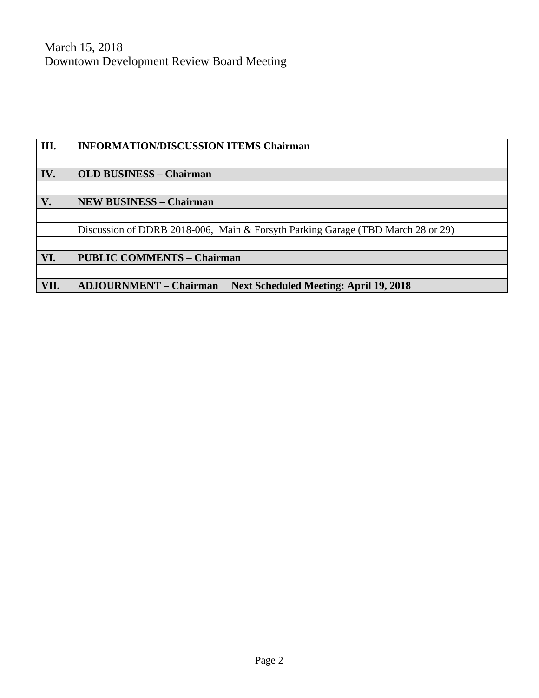| Ш.   | <b>INFORMATION/DISCUSSION ITEMS Chairman</b>                                    |  |
|------|---------------------------------------------------------------------------------|--|
|      |                                                                                 |  |
| IV.  | <b>OLD BUSINESS - Chairman</b>                                                  |  |
|      |                                                                                 |  |
| V.   | <b>NEW BUSINESS - Chairman</b>                                                  |  |
|      |                                                                                 |  |
|      | Discussion of DDRB 2018-006, Main & Forsyth Parking Garage (TBD March 28 or 29) |  |
|      |                                                                                 |  |
| VI.  | <b>PUBLIC COMMENTS - Chairman</b>                                               |  |
|      |                                                                                 |  |
| VII. | <b>ADJOURNMENT - Chairman</b><br><b>Next Scheduled Meeting: April 19, 2018</b>  |  |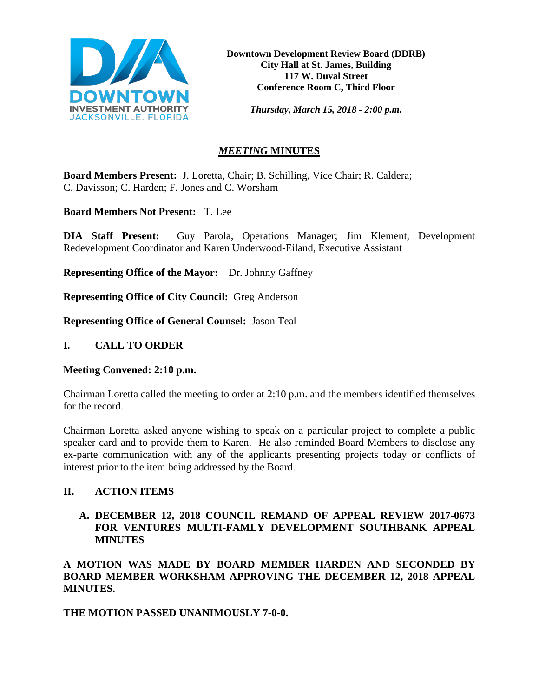

*Thursday, March 15, 2018 - 2:00 p.m.*

# *MEETING* **MINUTES**

**Board Members Present:** J. Loretta, Chair; B. Schilling, Vice Chair; R. Caldera; C. Davisson; C. Harden; F. Jones and C. Worsham

**Board Members Not Present:** T. Lee

**DIA Staff Present:** Guy Parola, Operations Manager; Jim Klement, Development Redevelopment Coordinator and Karen Underwood-Eiland, Executive Assistant

**Representing Office of the Mayor:** Dr. Johnny Gaffney

**Representing Office of City Council:** Greg Anderson

**Representing Office of General Counsel:** Jason Teal

#### **I. CALL TO ORDER**

#### **Meeting Convened: 2:10 p.m.**

Chairman Loretta called the meeting to order at 2:10 p.m. and the members identified themselves for the record.

Chairman Loretta asked anyone wishing to speak on a particular project to complete a public speaker card and to provide them to Karen. He also reminded Board Members to disclose any ex-parte communication with any of the applicants presenting projects today or conflicts of interest prior to the item being addressed by the Board.

### **II. ACTION ITEMS**

### **A. DECEMBER 12, 2018 COUNCIL REMAND OF APPEAL REVIEW 2017-0673 FOR VENTURES MULTI-FAMLY DEVELOPMENT SOUTHBANK APPEAL MINUTES**

**A MOTION WAS MADE BY BOARD MEMBER HARDEN AND SECONDED BY BOARD MEMBER WORKSHAM APPROVING THE DECEMBER 12, 2018 APPEAL MINUTES.**

### **THE MOTION PASSED UNANIMOUSLY 7-0-0.**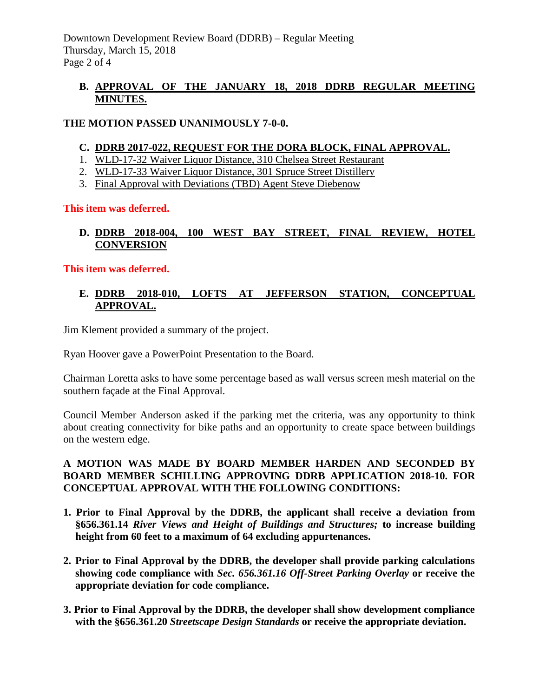## **B. APPROVAL OF THE JANUARY 18, 2018 DDRB REGULAR MEETING MINUTES.**

## **THE MOTION PASSED UNANIMOUSLY 7-0-0.**

### **C. DDRB 2017-022, REQUEST FOR THE DORA BLOCK, FINAL APPROVAL.**

- 1. WLD-17-32 Waiver Liquor Distance, 310 Chelsea Street Restaurant
- 2. WLD-17-33 Waiver Liquor Distance, 301 Spruce Street Distillery
- 3. Final Approval with Deviations (TBD) Agent Steve Diebenow

#### **This item was deferred.**

## **D. DDRB 2018-004, 100 WEST BAY STREET, FINAL REVIEW, HOTEL CONVERSION**

#### **This item was deferred.**

### **E. DDRB 2018-010, LOFTS AT JEFFERSON STATION, CONCEPTUAL APPROVAL.**

Jim Klement provided a summary of the project.

Ryan Hoover gave a PowerPoint Presentation to the Board.

Chairman Loretta asks to have some percentage based as wall versus screen mesh material on the southern façade at the Final Approval.

Council Member Anderson asked if the parking met the criteria, was any opportunity to think about creating connectivity for bike paths and an opportunity to create space between buildings on the western edge.

### **A MOTION WAS MADE BY BOARD MEMBER HARDEN AND SECONDED BY BOARD MEMBER SCHILLING APPROVING DDRB APPLICATION 2018-10. FOR CONCEPTUAL APPROVAL WITH THE FOLLOWING CONDITIONS:**

- **1. Prior to Final Approval by the DDRB, the applicant shall receive a deviation from §656.361.14** *River Views and Height of Buildings and Structures;* **to increase building height from 60 feet to a maximum of 64 excluding appurtenances.**
- **2. Prior to Final Approval by the DDRB, the developer shall provide parking calculations showing code compliance with** *Sec. 656.361.16 Off-Street Parking Overlay* **or receive the appropriate deviation for code compliance.**
- **3. Prior to Final Approval by the DDRB, the developer shall show development compliance with the §656.361.20** *Streetscape Design Standards* **or receive the appropriate deviation.**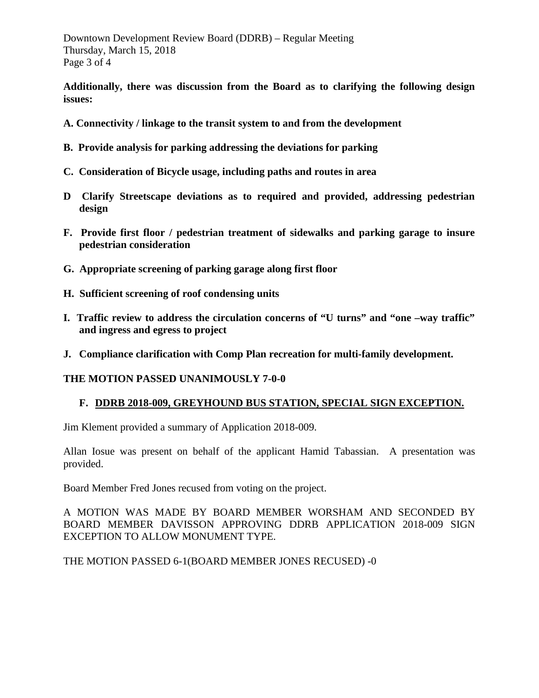Downtown Development Review Board (DDRB) – Regular Meeting Thursday, March 15, 2018 Page 3 of 4

 **Additionally, there was discussion from the Board as to clarifying the following design issues:**

- **A. Connectivity / linkage to the transit system to and from the development**
- **B. Provide analysis for parking addressing the deviations for parking**
- **C. Consideration of Bicycle usage, including paths and routes in area**
- **D Clarify Streetscape deviations as to required and provided, addressing pedestrian design**
- **F. Provide first floor / pedestrian treatment of sidewalks and parking garage to insure pedestrian consideration**
- **G. Appropriate screening of parking garage along first floor**
- **H. Sufficient screening of roof condensing units**
- **I. Traffic review to address the circulation concerns of "U turns" and "one –way traffic" and ingress and egress to project**
- **J. Compliance clarification with Comp Plan recreation for multi-family development.**

#### **THE MOTION PASSED UNANIMOUSLY 7-0-0**

#### **F. DDRB 2018-009, GREYHOUND BUS STATION, SPECIAL SIGN EXCEPTION.**

Jim Klement provided a summary of Application 2018-009.

Allan Iosue was present on behalf of the applicant Hamid Tabassian. A presentation was provided.

Board Member Fred Jones recused from voting on the project.

A MOTION WAS MADE BY BOARD MEMBER WORSHAM AND SECONDED BY BOARD MEMBER DAVISSON APPROVING DDRB APPLICATION 2018-009 SIGN EXCEPTION TO ALLOW MONUMENT TYPE.

THE MOTION PASSED 6-1(BOARD MEMBER JONES RECUSED) -0